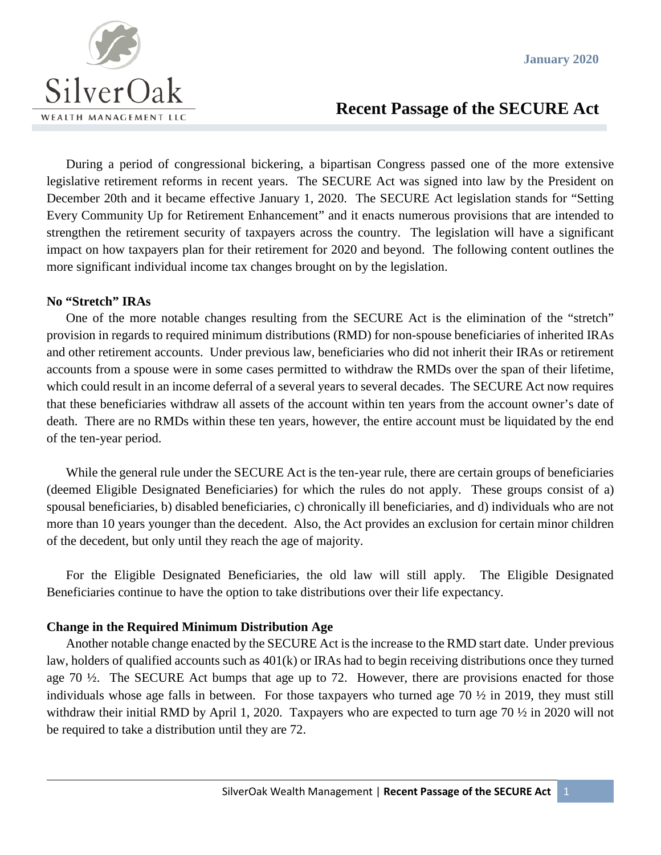

# **Recent Passage of the SECURE Act**

During a period of congressional bickering, a bipartisan Congress passed one of the more extensive legislative retirement reforms in recent years. The SECURE Act was signed into law by the President on December 20th and it became effective January 1, 2020. The SECURE Act legislation stands for "Setting Every Community Up for Retirement Enhancement" and it enacts numerous provisions that are intended to strengthen the retirement security of taxpayers across the country. The legislation will have a significant impact on how taxpayers plan for their retirement for 2020 and beyond. The following content outlines the more significant individual income tax changes brought on by the legislation.

#### **No "Stretch" IRAs**

One of the more notable changes resulting from the SECURE Act is the elimination of the "stretch" provision in regards to required minimum distributions (RMD) for non-spouse beneficiaries of inherited IRAs and other retirement accounts. Under previous law, beneficiaries who did not inherit their IRAs or retirement accounts from a spouse were in some cases permitted to withdraw the RMDs over the span of their lifetime, which could result in an income deferral of a several years to several decades. The SECURE Act now requires that these beneficiaries withdraw all assets of the account within ten years from the account owner's date of death. There are no RMDs within these ten years, however, the entire account must be liquidated by the end of the ten-year period.

While the general rule under the SECURE Act is the ten-year rule, there are certain groups of beneficiaries (deemed Eligible Designated Beneficiaries) for which the rules do not apply. These groups consist of a) spousal beneficiaries, b) disabled beneficiaries, c) chronically ill beneficiaries, and d) individuals who are not more than 10 years younger than the decedent. Also, the Act provides an exclusion for certain minor children of the decedent, but only until they reach the age of majority.

For the Eligible Designated Beneficiaries, the old law will still apply. The Eligible Designated Beneficiaries continue to have the option to take distributions over their life expectancy.

#### **Change in the Required Minimum Distribution Age**

Another notable change enacted by the SECURE Act is the increase to the RMD start date. Under previous law, holders of qualified accounts such as 401(k) or IRAs had to begin receiving distributions once they turned age 70 ½. The SECURE Act bumps that age up to 72. However, there are provisions enacted for those individuals whose age falls in between. For those taxpayers who turned age 70 ½ in 2019, they must still withdraw their initial RMD by April 1, 2020. Taxpayers who are expected to turn age 70 ½ in 2020 will not be required to take a distribution until they are 72.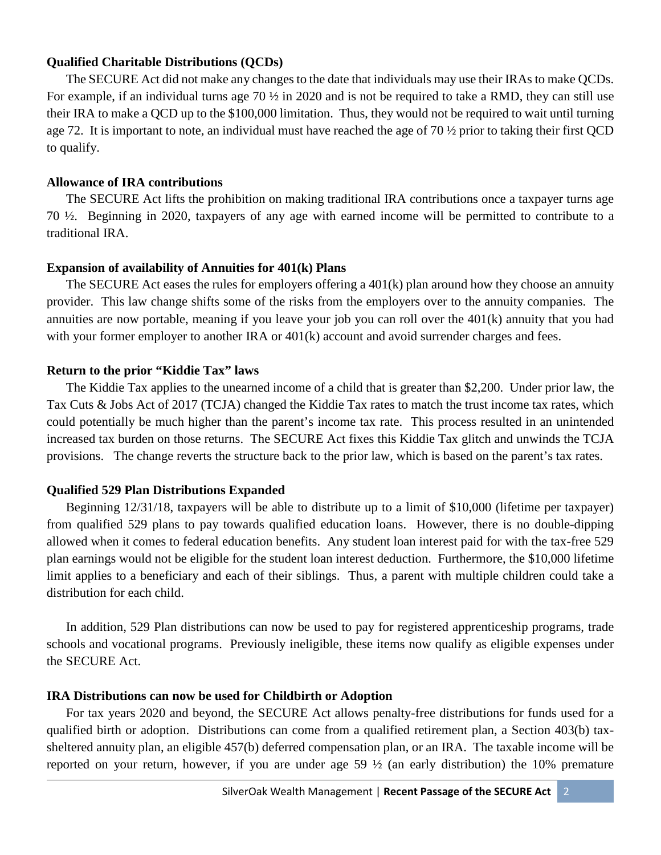#### **Qualified Charitable Distributions (QCDs)**

The SECURE Act did not make any changes to the date that individuals may use their IRAs to make QCDs. For example, if an individual turns age 70  $\frac{1}{2}$  in 2020 and is not be required to take a RMD, they can still use their IRA to make a QCD up to the \$100,000 limitation. Thus, they would not be required to wait until turning age 72. It is important to note, an individual must have reached the age of 70  $\frac{1}{2}$  prior to taking their first QCD to qualify.

## **Allowance of IRA contributions**

The SECURE Act lifts the prohibition on making traditional IRA contributions once a taxpayer turns age 70 ½. Beginning in 2020, taxpayers of any age with earned income will be permitted to contribute to a traditional IRA.

# **Expansion of availability of Annuities for 401(k) Plans**

The SECURE Act eases the rules for employers offering a 401(k) plan around how they choose an annuity provider. This law change shifts some of the risks from the employers over to the annuity companies. The annuities are now portable, meaning if you leave your job you can roll over the 401(k) annuity that you had with your former employer to another IRA or  $401(k)$  account and avoid surrender charges and fees.

# **Return to the prior "Kiddie Tax" laws**

The Kiddie Tax applies to the unearned income of a child that is greater than \$2,200. Under prior law, the Tax Cuts & Jobs Act of 2017 (TCJA) changed the Kiddie Tax rates to match the trust income tax rates, which could potentially be much higher than the parent's income tax rate. This process resulted in an unintended increased tax burden on those returns. The SECURE Act fixes this Kiddie Tax glitch and unwinds the TCJA provisions. The change reverts the structure back to the prior law, which is based on the parent's tax rates.

# **Qualified 529 Plan Distributions Expanded**

Beginning 12/31/18, taxpayers will be able to distribute up to a limit of \$10,000 (lifetime per taxpayer) from qualified 529 plans to pay towards qualified education loans. However, there is no double-dipping allowed when it comes to federal education benefits. Any student loan interest paid for with the tax-free 529 plan earnings would not be eligible for the student loan interest deduction. Furthermore, the \$10,000 lifetime limit applies to a beneficiary and each of their siblings. Thus, a parent with multiple children could take a distribution for each child.

In addition, 529 Plan distributions can now be used to pay for registered apprenticeship programs, trade schools and vocational programs. Previously ineligible, these items now qualify as eligible expenses under the SECURE Act.

# **IRA Distributions can now be used for Childbirth or Adoption**

For tax years 2020 and beyond, the SECURE Act allows penalty-free distributions for funds used for a qualified birth or adoption. Distributions can come from a qualified retirement plan, a Section 403(b) taxsheltered annuity plan, an eligible 457(b) deferred compensation plan, or an IRA. The taxable income will be reported on your return, however, if you are under age 59 ½ (an early distribution) the 10% premature